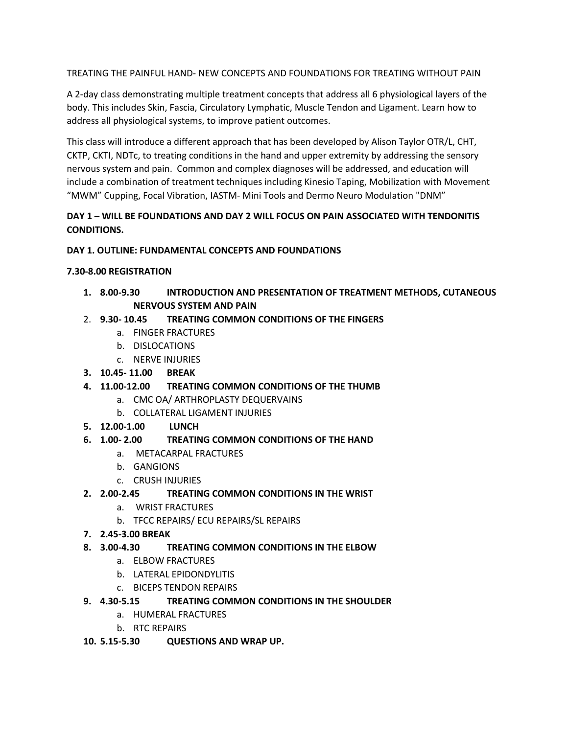TREATING THE PAINFUL HAND- NEW CONCEPTS AND FOUNDATIONS FOR TREATING WITHOUT PAIN

A 2-day class demonstrating multiple treatment concepts that address all 6 physiological layers of the body. This includes Skin, Fascia, Circulatory Lymphatic, Muscle Tendon and Ligament. Learn how to address all physiological systems, to improve patient outcomes.

This class will introduce a different approach that has been developed by Alison Taylor OTR/L, CHT, CKTP, CKTI, NDTc, to treating conditions in the hand and upper extremity by addressing the sensory nervous system and pain. Common and complex diagnoses will be addressed, and education will include a combination of treatment techniques including Kinesio Taping, Mobilization with Movement "MWM" Cupping, Focal Vibration, IASTM- Mini Tools and Dermo Neuro Modulation "DNM"

# **DAY 1 – WILL BE FOUNDATIONS AND DAY 2 WILL FOCUS ON PAIN ASSOCIATED WITH TENDONITIS CONDITIONS.**

## **DAY 1. OUTLINE: FUNDAMENTAL CONCEPTS AND FOUNDATIONS**

#### **7.30-8.00 REGISTRATION**

- **1. 8.00-9.30 INTRODUCTION AND PRESENTATION OF TREATMENT METHODS, CUTANEOUS NERVOUS SYSTEM AND PAIN**
- 2. **9.30- 10.45 TREATING COMMON CONDITIONS OF THE FINGERS**
	- a. FINGER FRACTURES
	- b. DISLOCATIONS
	- c. NERVE INJURIES
- **3. 10.45- 11.00 BREAK**
- **4. 11.00-12.00 TREATING COMMON CONDITIONS OF THE THUMB**
	- a. CMC OA/ ARTHROPLASTY DEQUERVAINS
	- b. COLLATERAL LIGAMENT INJURIES
- **5. 12.00-1.00 LUNCH**

## **6. 1.00- 2.00 TREATING COMMON CONDITIONS OF THE HAND**

- a. METACARPAL FRACTURES
- b. GANGIONS
- c. CRUSH INJURIES
- **2. 2.00-2.45 TREATING COMMON CONDITIONS IN THE WRIST**
	- a. WRIST FRACTURES
	- b. TFCC REPAIRS/ ECU REPAIRS/SL REPAIRS
- **7. 2.45-3.00 BREAK**
- **8. 3.00-4.30 TREATING COMMON CONDITIONS IN THE ELBOW**
	- a. ELBOW FRACTURES
	- b. LATERAL EPIDONDYLITIS
	- c. BICEPS TENDON REPAIRS
- **9. 4.30-5.15 TREATING COMMON CONDITIONS IN THE SHOULDER**
	- a. HUMERAL FRACTURES
	- b. RTC REPAIRS
- **10. 5.15-5.30 QUESTIONS AND WRAP UP.**